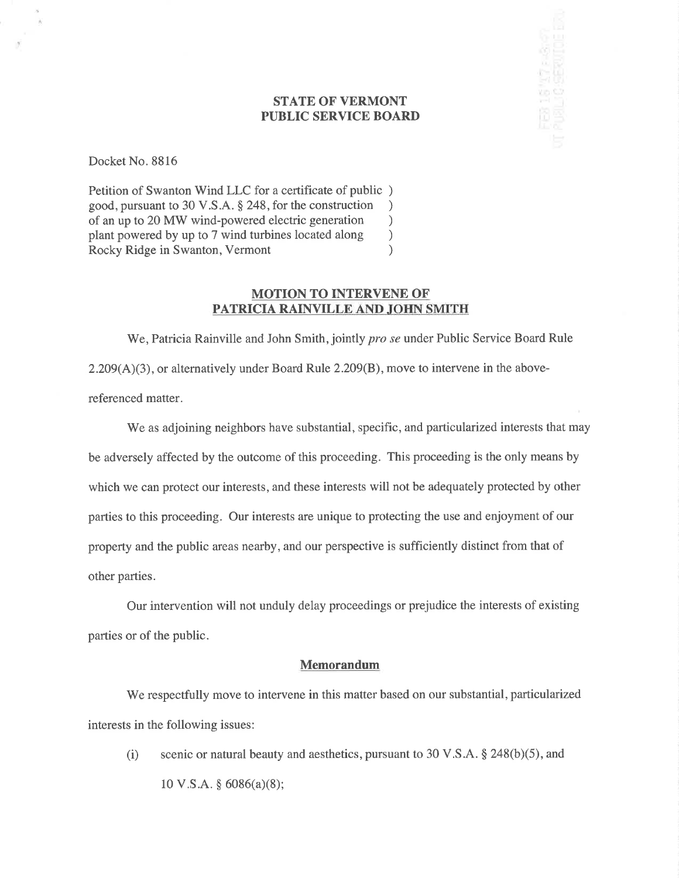## STATE OF VERMONT PUBLIC SERVICE BOARD

 $\frac{3}{2}$  15  $\frac{17}{2}$  = 8.97

Docket No. 8816

Petition of Swanton Wind LLC for a certificate of public ) good, pursuant to 30 V.S.A. \$ 248, for the construction ) of an up to 20 MW wind-powered electric generation <br>plant powered by up to 7 wind turbines located along ) plant powered by up to 7 wind turbines located along <br>Rocky Ridge in Swanton, Vermont (a) Rocky Ridge in Swanton, Vermont )

## MOTION TO INTERVENE OF PATRICIA RAINVILLE AND JOHN SMITH

We, Patricia Rainville and John Smith, jointly *pro se* under Public Service Board Rule 2.209(A)(3), or alternatively under Board Rule 2.209(B), move to intervene in the abovereferenced matter.

We as adjoining neighbors have substantial, specific, and particularized interests that may be adversely affected by the outcome of this proceeding. This proceeding is the only means by which we can protect our interests, and these interests will not be adequately protected by other parties to this proceeding. Our interests are unique to protecting the use and enjoyment of our property and the public areas nearby, and our perspective is sufficiently distinct from that of other parties.

Our intervention will not unduly delay proceedings or prejudice the interests of existing parties or of the public.

#### Memorandum

We respectfully move to intervene in this matter based on our substantial, particularized interests in the following issues:

(i) scenic or natural beauty and aesthetics, pursuant to 30 V.S.A.  $\S$  248(b)(5), and  $10 \text{ V.S.A. }$ § 6086(a)(8);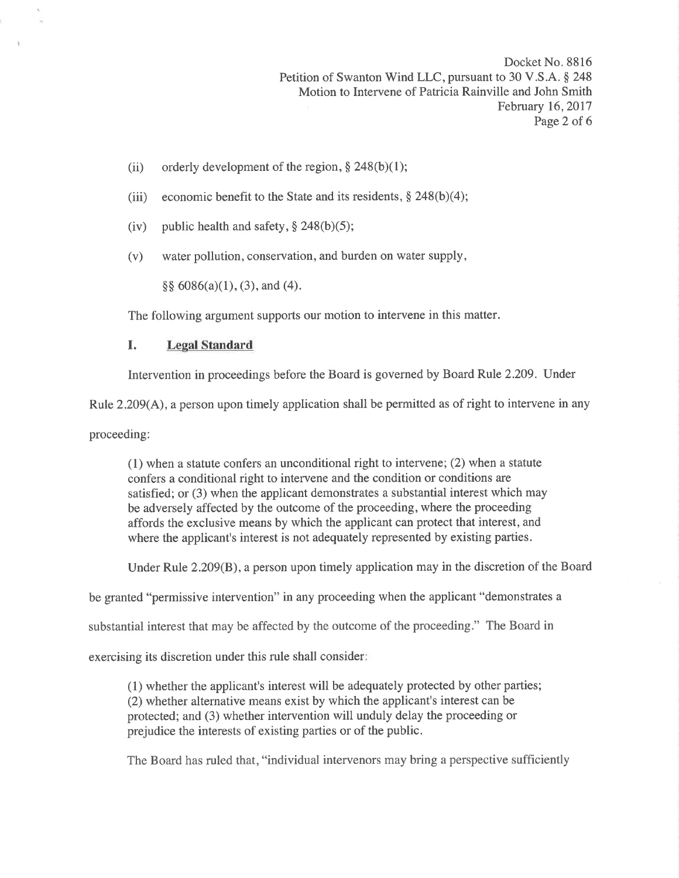Docket No. 8816 Petition of Swanton Wind LLC, pursuant to 30 V.S.A. \$ 248 Motion to Intervene of Patricia Rainville and John Smith February 16,2017 Page 2 of 6

- (ii) orderly development of the region,  $§$  248(b)(1);
- (iii) economic benefit to the State and its residents,  $\S$  248(b)(4);
- (iv) public health and safety,  $\S$  248(b)(5);
- (v) water pollution, conservation, and burden on water supply,

 $\S\S 6086(a)(1), (3),$  and (4).

The following argument supports our motion to intervene in this matter.

### I. Legal Standard

Intervention in proceedings before the Board is governed by Board Rule 2.209. Under

Rule  $2.209(A)$ , a person upon timely application shall be permitted as of right to intervene in any

proceeding:

(1) when a statute confers an unconditional right to intervene; (2) when a statute confers a conditional right to intervene and the condition or conditions are satisfied; or (3) when the applicant demonstrates a substantial interest which may be adversely affected by the outcome of the proceeding, where the proceeding affords the exclusive means by which the applicant can protect that interest, and where the applicant's interest is not adequately represented by existing parties.

Under Rule 2.209(B), a person upon timely application may in the discretion of the Board

be granted "permissive intervention" in any proceeding when the applicant "demonstrates a

substantial interest that may be affected by the outcome of the proceeding." The Board in

exercising its discretion under this rule shall consider

(1) whether the applicant's interest will be adequately protected by other parties; (2) whether alternative means exist by which the applicant's interest can be protected; and (3) whether intervention will unduly delay the proceeding or prejudice the interests of existing parties or of the public.

The Board has ruled that, "individual intervenors may bring a perspective sufficiently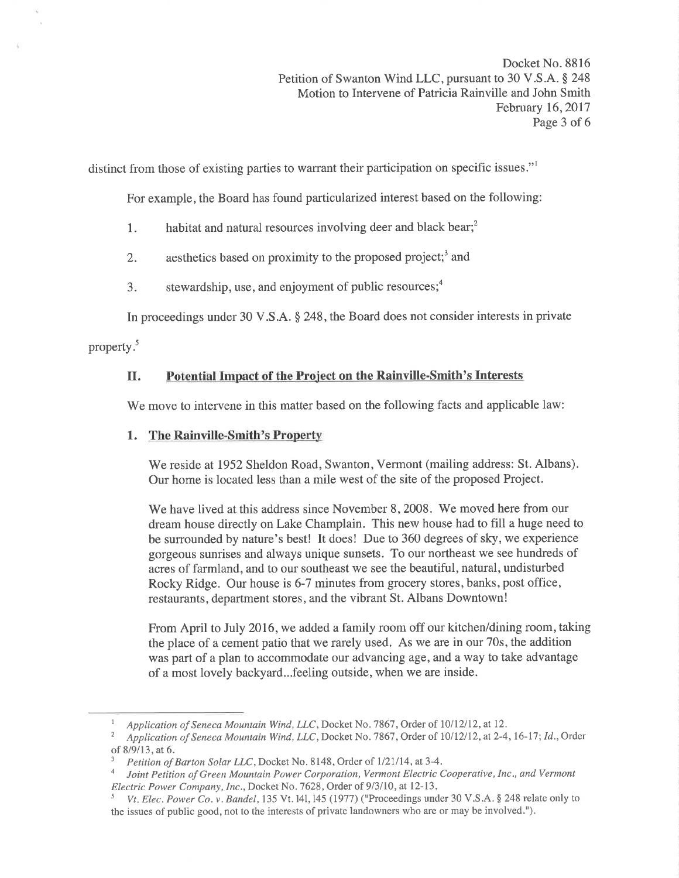Docket No. 8816 Petition of Swanton Wind LLC, pursuant to 30 V.S.A. \$ 248 Motion to Intervene of Patricia Rainville and John Smith February 16,2017 Page 3 of 6

distinct from those of existing parties to warrant their participation on specific issues."<sup>1</sup>

For example, the Board has found particularized interest based on the following:

- 1. habitat and natural resources involving deer and black bear;<sup>2</sup>
- 2. aesthetics based on proximity to the proposed project;<sup>3</sup> and
- 3. stewardship, use, and enjoyment of public resources; $<sup>4</sup>$ </sup>

In proceedings under 30 V.S.A. \$ 248, the Board does not consider interests in private

property.<sup>5</sup>

# U. Potential Impact of the Project on the Rainville-Smith's Interests

We move to intervene in this matter based on the following facts and applicable law:

## 1. The Rainville-Smith's Property

'We reside at 1952 Sheldon Road, Swanton, Vermont (mailing address: St. Albans). Our home is located less than a mile west of the site of the proposed Project.

We have lived at this address since November 8,2008. We moved here from our dream house directly on Lake Champlain. This new house had to fill a huge need to be surrounded by nature's best! It does! Due to 360 degrees of sky, we experience gorgeous sunrises and always unique sunsets. To our northeast we see hundreds of acres of farmland, and to our southeast we see the beautiful, natural, undisturbed Rocky Ridge. Our house is 6-7 minutes from grocery stores, banks, post office, restaurants, department stores, and the vibrant St. Albans Downtown!

From April to July 2016, we added a family room off our kitchen/dining room, taking the place of a cement patio that we rarely used. As we are in our 70s, the addition was part of a plan to accommodate our advancing age, and a way to take advantage of a most lovely backyard...feeling outside, when we are inside.

Application of Seneca Mountain Wind, LLC, Docket No. 7867, Order of 10/12/12, at 12.<br>Application of Seneca Mountain Wind, LLC, Docket No. 7867, Order of 10/12/12, at 2-4, 16-17; Id., Order of 8/9/13, at 6.  $\frac{3}{P}$  Petition of Barton Solar LLC, Docket No. 8148, Order of 1/21/14, at 3-4.

Joint Petition of Green Mountain Power Corporation, Vermont Electric Cooperative, Inc., and Vermont Electric Power Company, Inc., Docket No. 7628, Order of 9/3/10, at 12-13.<br><sup>5</sup> Vt. Elec. Power Co. v. Bandel, 135 Vt. 141, 145 (1977) ("Proceedings under 30 V.S.A. § 248 relate only to

the issues of public good, not to the interests of private landowners who are or may be involved.").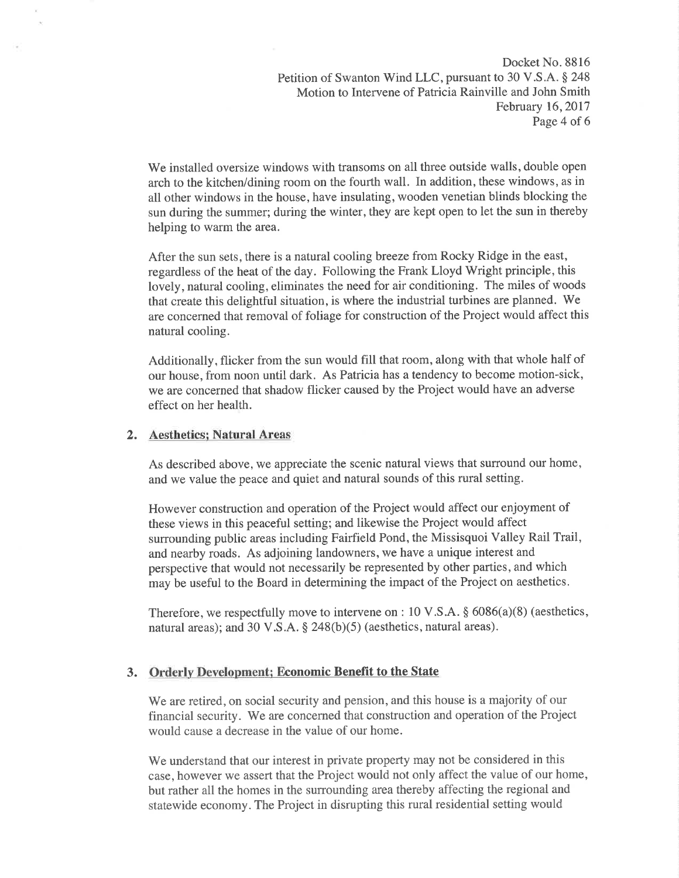Docket No. 8816 Petition of Swanton Wind LLC, pursuant to 30 V.S.A. \$ 248 Motion to Intervene of Patricia Rainville and John Smith February 16,2QI7 Page 4 of 6

We installed oversize windows with transoms on all three outside walls, double open arch to the kitchen/dining room on the fourth wall. In addition, these windows, as in all other windows in the house, have insulating, wooden venetian blinds blocking the sun during the summer; during the winter, they are kept open to let the sun in thereby helping to warm the area.

After the sun sets, there is a natural cooling breeze from Rocky Ridge in the east, regardless of the heat of the day. Following the Frank Lloyd Wright principle, this lovely, natural cooling, eliminates the need for air conditioning. The miles of woods that create this delightful situation, is where the industrial turbines are planned. We are concerned that removal of foliage for construction of the Project would affect this natural cooling.

Additionally, flicker from the sun would fill that room, along with that whole half of our house, from noon until dark. As Patricia has a tendency to become motion-sick, we are concerned that shadow flicker caused by the Project would have an adverse effect on her health.

#### 2. Aesthetics¡ Natural Areas

As described above, we appreciate the scenic natural views that surround our home, and we value the peace and quiet and natural sounds of this rural setting.

However construction and operation of the Project would affect our enjoyment of these views in this peaceful setting; and likewise the Project would affect surrounding public areas including Fairfield Pond, the Missisquoi Valley Rail Trail, and nearby roads. As adjoining landowners, we have a unique interest and perspective that would not necessarily be represented by other parties, and which may be useful to the Board in determining the impact of the Project on aesthetics.

Therefore, we respectfully move to intervene on : 10 V.S.A.  $\S$  6086(a)(8) (aesthetics, natural areas); and 30 V.S.A.  $\S$  248(b)(5) (aesthetics, natural areas).

### 3. Orderly Development; Economic Benefit to the State

We are retired, on social security and pension, and this house is a majority of our financial security. We are concerned that construction and operation of the Project would cause a decrease in the value of our home.

We understand that our interest in private property may not be considered in this case, however we assert that the Project would not only affect the value of our home, but rather all the homes in the surrounding area thereby affecting the regional and statewide economy. The Project in disrupting this rural residential setting would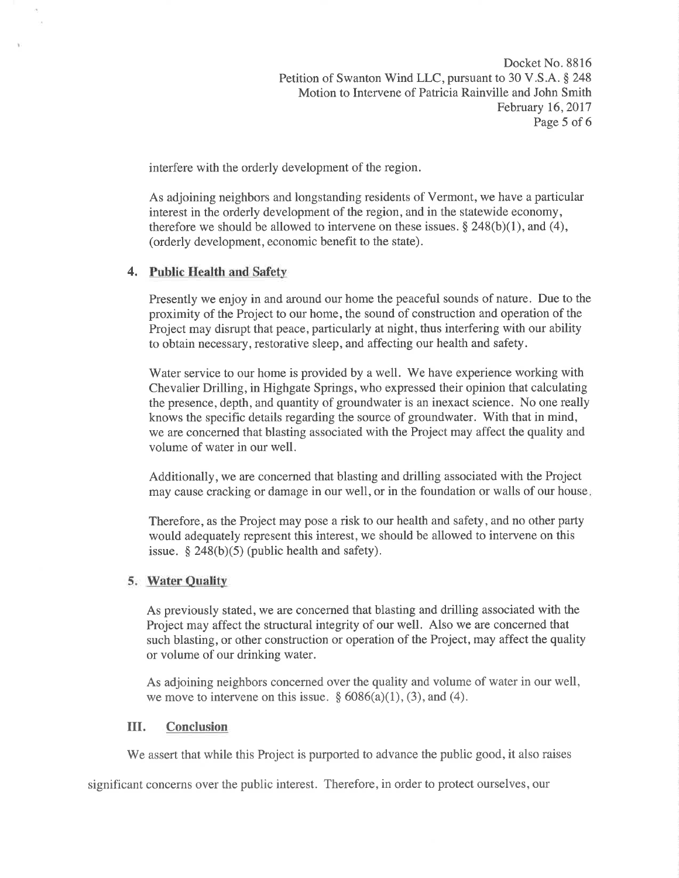Docket No. 8816 Petition of Swanton Wind LLC, pursuant to 30 V.S.A. \$ 248 Motion to Intervene of Patricia Rainville and John Smith February 16,2017 Page 5 of 6

interfere with the orderly development of the region.

As adjoining neighbors and longstanding residents of Vermont, we have a particular interest in the orderly development of the region, and in the statewide economy, therefore we should be allowed to intervene on these issues.  $\S 248(b)(1)$ , and (4), (orderly development, economic benefit to the state).

### 4. Public Health and Safety

Presently we enjoy in and around our home the peaceful sounds of nature. Due to the proximity of the Project to our home, the sound of construction and operation of the Project may disrupt that peace, particularly at night, thus interfering with our ability to obtain necessary, restorative sleep, and affecting our health and safety.

Water service to our home is provided by a well. We have experience working with Chevalier Drilling, in Highgate Springs, who expressed their opinion that calculating the presence, depth, and quantity of groundwater is an inexact science. No one really knows the specific details regarding the source of groundwater. With that in mind, we are concerned that blasting associated with the Project may affect the quality and volume of water in our well.

Additionally, we are concerned that blasting and drilling associated with the Project may cause cracking or damage in our well, or in the foundation or walls of our house

Therefore, as the Project may pose a risk to our health and safety, and no other party would adequately represent this interest, we should be allowed to intervene on this issue.  $$ 248(b)(5)$  (public health and safety).

#### 5. Water Ouality

As previously stated, we are concerned that blasting and drilling associated with the Project may affect the structural integrity of our well. Also we are concerned that such blasting, or other construction or operation of the Project, may affect the quality or volume of our drinking water.

As adjoining neighbors concerned over the quality and volume of water in our well, we move to intervene on this issue.  $\frac{6086(a)(1)}{3}$ , and (4).

#### III. Conclusion

We assert that while this Project is purported to advance the public good, it also raises

significant concerns over the public interest. Therefore, in order to protect ourselves, our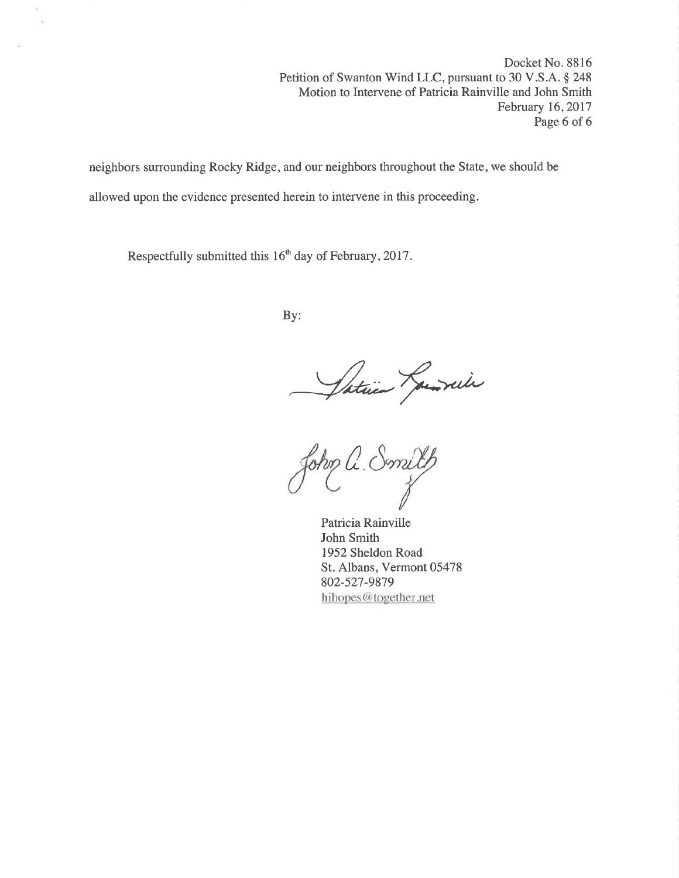Docket No. 8816 Petition of Swanton Wind LLC, pursuant to 30 V.S.A. \$ 248 Motion to Intervene of Patricia Rainville and John Smith February 16,2017 Page 6 of 6

neighbors surrounding Rocky Ridge, and our neighbors throughout the State, we should be allowed upon the evidence presented herein to intervene in this proceeding.

Respectfully submitted this 16<sup>th</sup> day of February, 2017.

 $\sim$ 

By:

Saturn Janvier

a Smilth<br>is <sup>Rainville</sup>

Patricia Rainville John Smith 1952 Sheldon Road St. Albans, Vermont 05478 802-527-9879 hihopes@together.net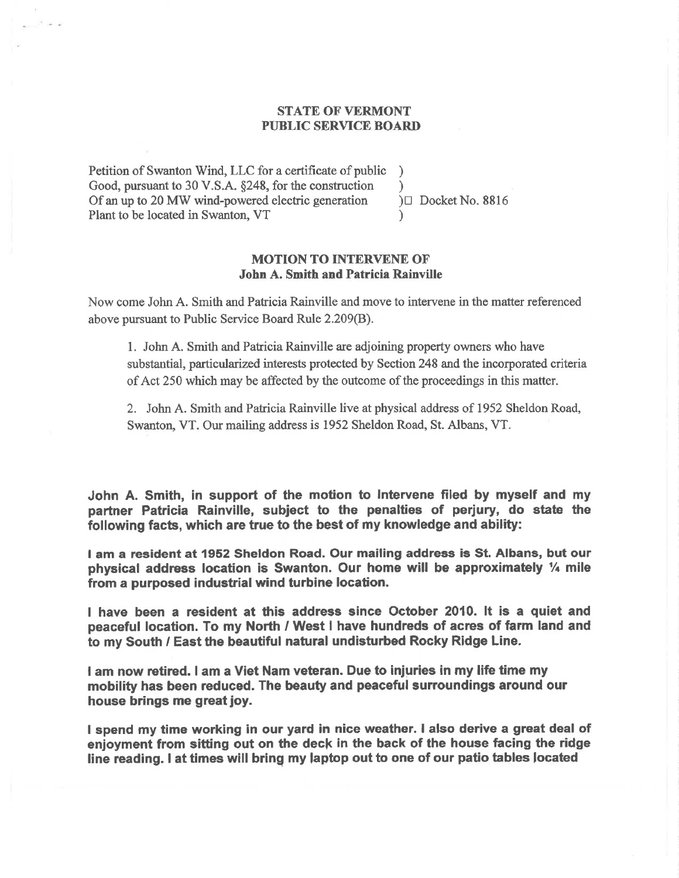## STATE OF VERMONT PUBLIC SERVICE BOARD

Petition of Swanton Wind, LLC for a certificate of public ) Good, pursuant to 30 V.S.A.  $\S 248$ , for the construction <br>Of an up to 20 MW wind-powered electric generation  $\square$  Docket No. 8816 Of an up to 20 MW wind-powered electric generation Plant to be located in Swanton, VT )

## MOTION TO INTERVENE OF' John A. Smith and Patricia Rainville

Now come John A. Smith and Patrioia Rainville and move to intervene in the matter referenced above pursuant to Public Service Board Rule 2.209(B).

1. John A. Smith and Paticia Rainville are adjoining property owners who have substantial, particularized interests protected by Section 248 and the incorporated criteria of Act 250 which may be affected by the outcome of the proceedings in this matter.

2. John A. Smith and Patricia Rainville live at physical address of 1952 Sheldon Road, Swanton, VT. Our mailing address is 1952 Sheldon Road, St. Albans, VT.

John A. Smith, in support of the motion to lntervene filed by myself and my partner Patricia Rainville, subject to the penalties of perjury, do state the following facts, which are true to the best of my knowledge and ability:

I am a resident at 1952 Sheldon Road. Our mailing address is St. Albans, but our physical address location is Swanton. Our home will be approximately  $\frac{1}{4}$  mile from a purposed industrial wind turbine location.

I have been a resident at this address since October 2010. It is a quiet and peaceful location. To my North / West I have hundreds of acres of farm land and to my South / East the beautiful natural undisturbed Rocky Ridge Line.

I am now retired. I am a Viet Nam veteran. Due to injuries in my life time my mobility has been reduced, The beauty and peaceful surroundings around our house brings me great joy.

I spend my time working in our yard in nice weather. I also derive a great deal of enjoyment from sitting out on the deck in the back of the house facing the ridge line reading. I at times will bring my laptop out to one of our patio tables located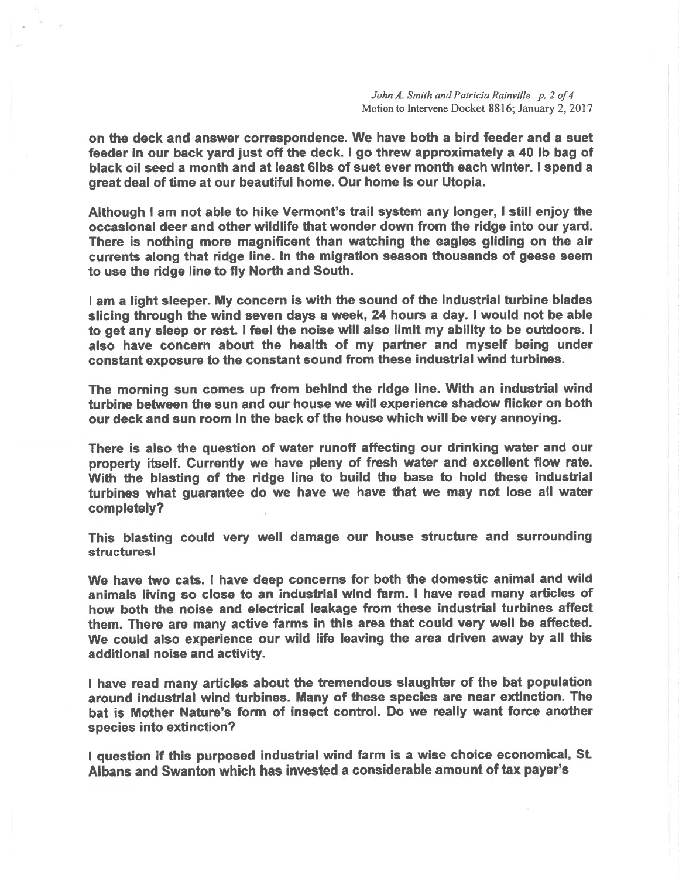on the deck and enswer correapondence. We have both a bird feeder and a suet feeder in our back yard just off the deck. I go threw approximately a 40 lb bag of black oil seed a month and at least 6lbs of suet ever month each winter. I spend a great deal of time at our beautiful home. Our home is our Utopia.

Although I am not able to hike Vermont's trail system any longer, I still enjoy the occasional deer and other wildlife that wonder down from the ridge into our yard. There is nothing more magnificent than watching the eagles gliding on the air currents along that ridge line. ln the migration season thousande of geese seem to use the ridge line to fly North and South.

I am a light sleeper. My concern is with the sound of the industrial turbine blades slicing through the wind seven days a week, 24 hours a day, I would not be able to get any sleep or rest I feel the noise will also limit my ability to be outdoors. <sup>I</sup> also have concern about the health of my partner and myself being under constant exposure to the constant sound from these industrial wind turbines.

The morning sun comes up from behind the ridge line. With an industrial wind turbine between the sun and our house we will experience shadow flicker on both our deck and sun room in the back of the house which will be very annoying.

There is also the question of water runoff affecting our drinking water and our property itself. Currently we have pleny of fresh water and excellent flow rate. With the blasting of the ridge line to build the base to hold these industrial turbines what quarantee do we have we have that we may not lose all water completely?

This blasting could very well damage our house structure and surrounding structuresl

We have two cats. I have deep concerns for both the domestic animal and wild animals living so close to an industrial wind farm. I have read many articles of how both the noise and electrical leakage from these industrial turbines affect them. There are many active farms in this area that could very well be affected. We could also experience our wild life leaving the area driven away by all this additional noise and activity.

I have read many articles about the tremendous slaughter of the bat population around industrial wind turbines. Many of these species are near extinction. The bat is Mother Nature's form of insect control. Do we really want force another species into extinction?

I question if this purposed industrial wind farm is a wise choice economical, St Albans and Swanton which has invested a considerable amount of tax payer's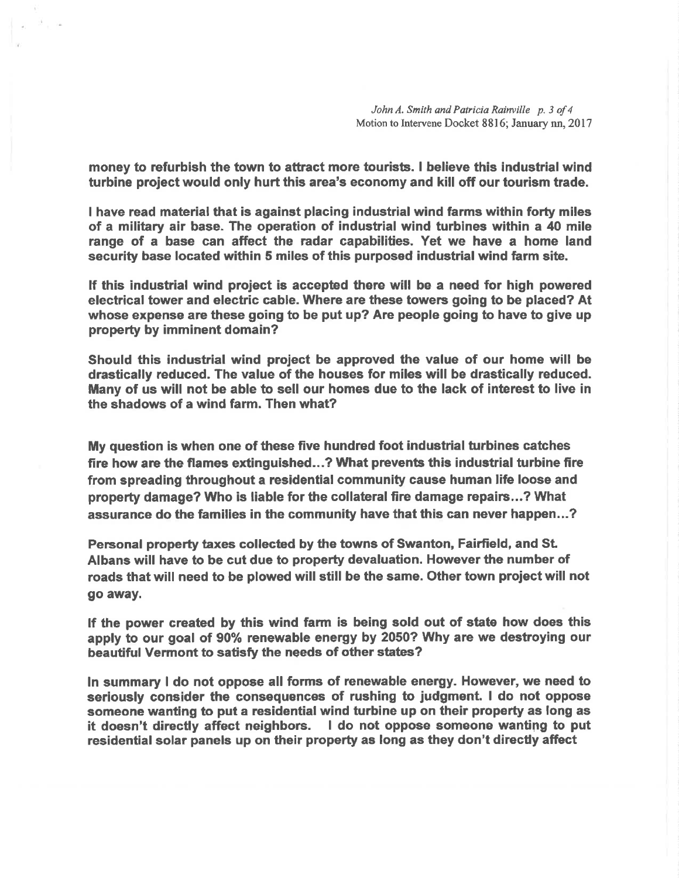John A. Smith and Patricia Rainville p. 3 of 4 Motion to Intervene Docket 8816; January nn, 2017

money to refurbish the town to attract more tourists. I believe this industrial wind turbine project would only hurt this area's economy and kill off our tourism trade.

I have read material that is against placing industrial wind farms within forty miles of a military air base. The operation of industrial wind turbines within a 40 mile range of a base can affect the radar capabilities. Yet we have a home land security base located within 5 miles of this purposed industrial wind farm site.

If this industrial wind project is accepted there will be a need for high powered electrical tower and electric cable. Where are these towers going to be placed? At whose expense are these going to be put up? Are people going to have to give up property by imminent domain?

Should this industrial wind project be approved the value of our home will be drastically reduced. The value of the houses for miles will be drastically reduced. Many of us will not be able to sell our homes due to the lack of interest to live in the shadows of a wind farm. Then what?

My question is when one of these five hundred foot industrial turbines catches fire how are the flames extinguished...? What prevents this industrial turbine fire from spreading throughout a residential community cause human life loose and property damage? Who is liable for the collateral fire damage repairs...? What assurance do the families in the community have that this can never happen...?

Personal property taxes collected by the towns of Swanton, Fairfield, and St. Albans will have to be cut due to property devaluation. However the number of roads that will need to be plowed will still be the same. Other town proiect will not go away.

lf the power created by this wind farm is being sold out of state how does this apply to our goal of 90% renewable energy by 2050? Why ane we destroying our beautiful Vermont to satisfy the needs of other states?

ln summary I do not oppose all forms of renewable energy. However, we need to seriously consider the consequences of rushing to judgment. I do not oppose someone wanting to put a residential wind turbine up on their property as long as it doesn't directly affect neighbors. I do not oppose someone wanting to put residential solar panels up on their property as long as they don't direcüy affect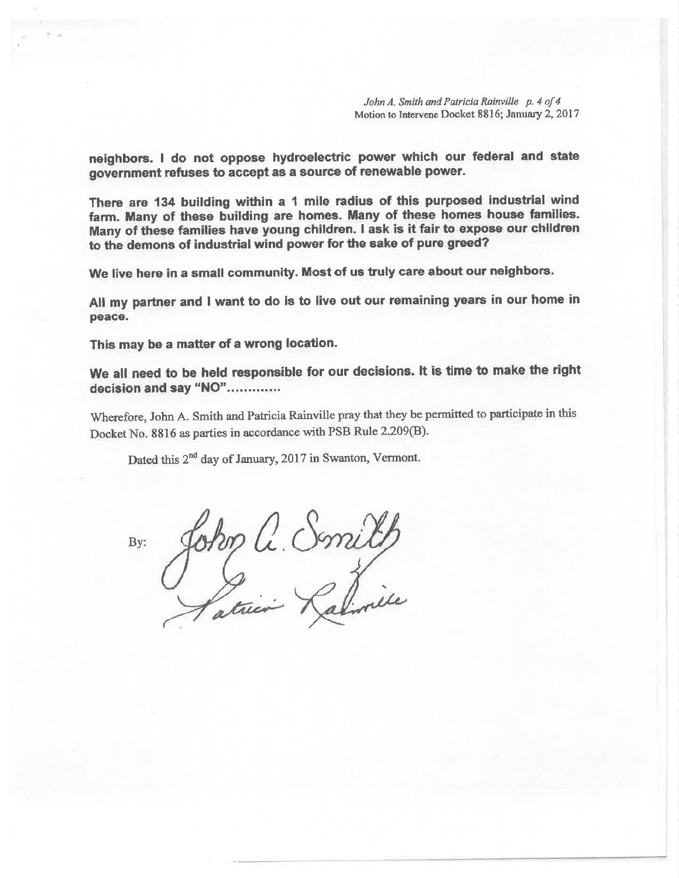John A. Smith and Patricia Rainville p. 4 of 4 Motion to Intervene Docket 8816; January 2, 2017

neighbors. I do not oppose hydroelectric power which our federal and state government refuses to accept as a source of renewable power.

There are 134 building within a 1 mile radius of this purposed industrial wind farm. Many of these building are homes. Many of these homes house families. Many of these families have young children. I ask is it fair to expose our chlldren to the demons of industrial wind power for the sake of pure greed?

We live here in a small community, Most of us truly care about our neighbors.

All my partner and I want to do is to live out our remaining years in our home in peace.

This may be a matter of a wrong location.

We all need to be held responsible for our decisions. It is time to make the right decision and say "NO".............

Wherefore, John A. Smith and Patricia Rainville pray that they be permitted to participate in this Docket No. 8816 as parties in accordance with PSB Rule 2.209(B).

Dated this  $2^{nd}$  day of January, 2017 in Swanton, Vermont.

By: John C. Smilh